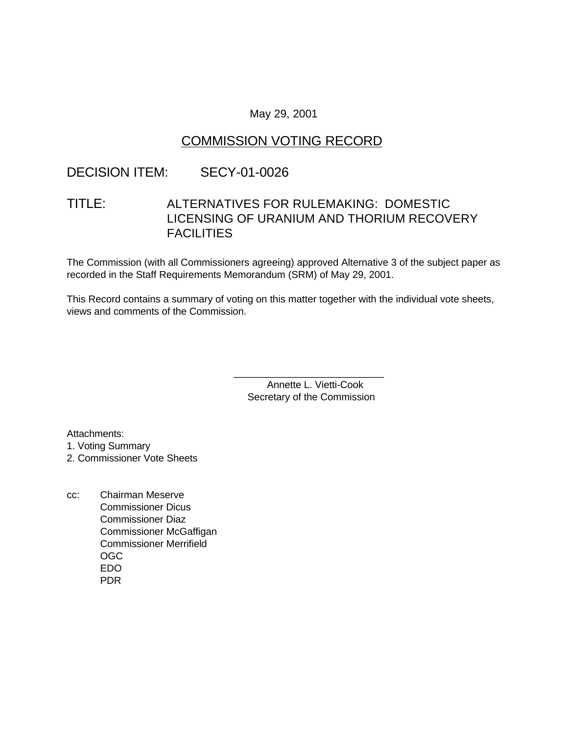### May 29, 2001

# COMMISSION VOTING RECORD

# DECISION ITEM: SECY-01-0026

# TITLE: ALTERNATIVES FOR RULEMAKING: DOMESTIC LICENSING OF URANIUM AND THORIUM RECOVERY **FACILITIES**

The Commission (with all Commissioners agreeing) approved Alternative 3 of the subject paper as recorded in the Staff Requirements Memorandum (SRM) of May 29, 2001.

This Record contains a summary of voting on this matter together with the individual vote sheets, views and comments of the Commission.

> Annette L. Vietti-Cook Secretary of the Commission

\_\_\_\_\_\_\_\_\_\_\_\_\_\_\_\_\_\_\_\_\_\_\_\_\_\_\_

Attachments: 1. Voting Summary

2. Commissioner Vote Sheets

cc: Chairman Meserve Commissioner Dicus Commissioner Diaz Commissioner McGaffigan Commissioner Merrifield OGC EDO PDR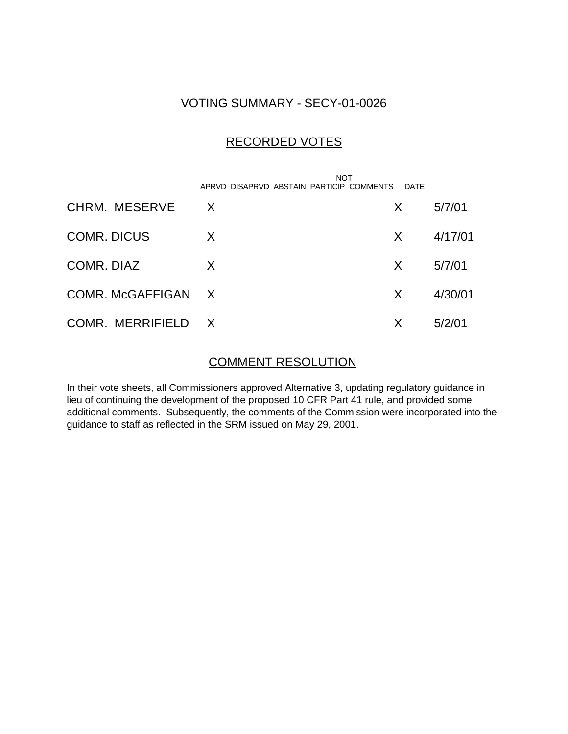## VOTING SUMMARY - SECY-01-0026

# RECORDED VOTES

|                    | APRVD DISAPRVD ABSTAIN PARTICIP COMMENTS | <b>NOT</b><br>DATE |         |
|--------------------|------------------------------------------|--------------------|---------|
| CHRM. MESERVE      | $\mathsf{X}$                             | X                  | 5/7/01  |
| <b>COMR. DICUS</b> | X                                        | X.                 | 4/17/01 |
| COMR. DIAZ         | X                                        | X.                 | 5/7/01  |
| COMR. McGAFFIGAN X |                                          | X                  | 4/30/01 |
| COMR. MERRIFIELD X |                                          | X                  | 5/2/01  |

## COMMENT RESOLUTION

In their vote sheets, all Commissioners approved Alternative 3, updating regulatory guidance in lieu of continuing the development of the proposed 10 CFR Part 41 rule, and provided some additional comments. Subsequently, the comments of the Commission were incorporated into the guidance to staff as reflected in the SRM issued on May 29, 2001.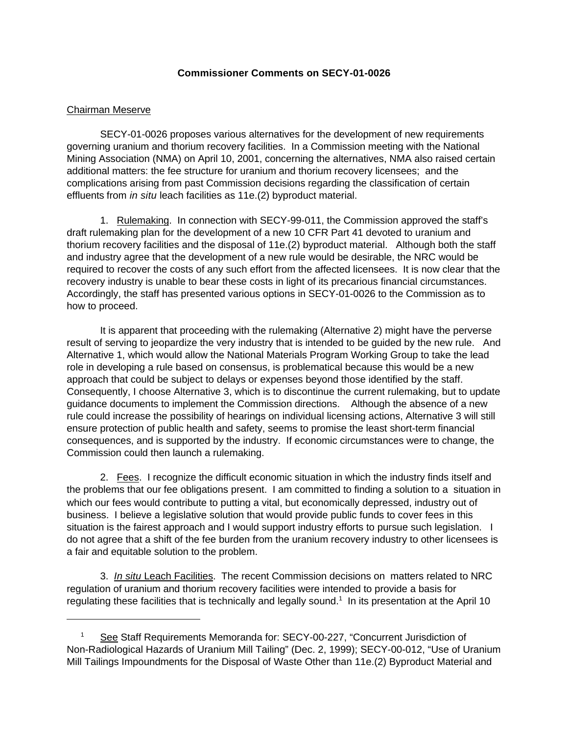#### **Commissioner Comments on SECY-01-0026**

#### Chairman Meserve

SECY-01-0026 proposes various alternatives for the development of new requirements governing uranium and thorium recovery facilities. In a Commission meeting with the National Mining Association (NMA) on April 10, 2001, concerning the alternatives, NMA also raised certain additional matters: the fee structure for uranium and thorium recovery licensees; and the complications arising from past Commission decisions regarding the classification of certain effluents from *in situ* leach facilities as 11e.(2) byproduct material.

1. Rulemaking. In connection with SECY-99-011, the Commission approved the staff's draft rulemaking plan for the development of a new 10 CFR Part 41 devoted to uranium and thorium recovery facilities and the disposal of 11e.(2) byproduct material. Although both the staff and industry agree that the development of a new rule would be desirable, the NRC would be required to recover the costs of any such effort from the affected licensees. It is now clear that the recovery industry is unable to bear these costs in light of its precarious financial circumstances. Accordingly, the staff has presented various options in SECY-01-0026 to the Commission as to how to proceed.

It is apparent that proceeding with the rulemaking (Alternative 2) might have the perverse result of serving to jeopardize the very industry that is intended to be guided by the new rule. And Alternative 1, which would allow the National Materials Program Working Group to take the lead role in developing a rule based on consensus, is problematical because this would be a new approach that could be subject to delays or expenses beyond those identified by the staff. Consequently, I choose Alternative 3, which is to discontinue the current rulemaking, but to update guidance documents to implement the Commission directions. Although the absence of a new rule could increase the possibility of hearings on individual licensing actions, Alternative 3 will still ensure protection of public health and safety, seems to promise the least short-term financial consequences, and is supported by the industry. If economic circumstances were to change, the Commission could then launch a rulemaking.

2. Fees. I recognize the difficult economic situation in which the industry finds itself and the problems that our fee obligations present. I am committed to finding a solution to a situation in which our fees would contribute to putting a vital, but economically depressed, industry out of business. I believe a legislative solution that would provide public funds to cover fees in this situation is the fairest approach and I would support industry efforts to pursue such legislation. I do not agree that a shift of the fee burden from the uranium recovery industry to other licensees is a fair and equitable solution to the problem.

3. *In situ* Leach Facilities. The recent Commission decisions on matters related to NRC regulation of uranium and thorium recovery facilities were intended to provide a basis for regulating these facilities that is technically and legally sound.<sup>1</sup> In its presentation at the April 10

See Staff Requirements Memoranda for: SECY-00-227, "Concurrent Jurisdiction of Non-Radiological Hazards of Uranium Mill Tailing" (Dec. 2, 1999); SECY-00-012, "Use of Uranium Mill Tailings Impoundments for the Disposal of Waste Other than 11e.(2) Byproduct Material and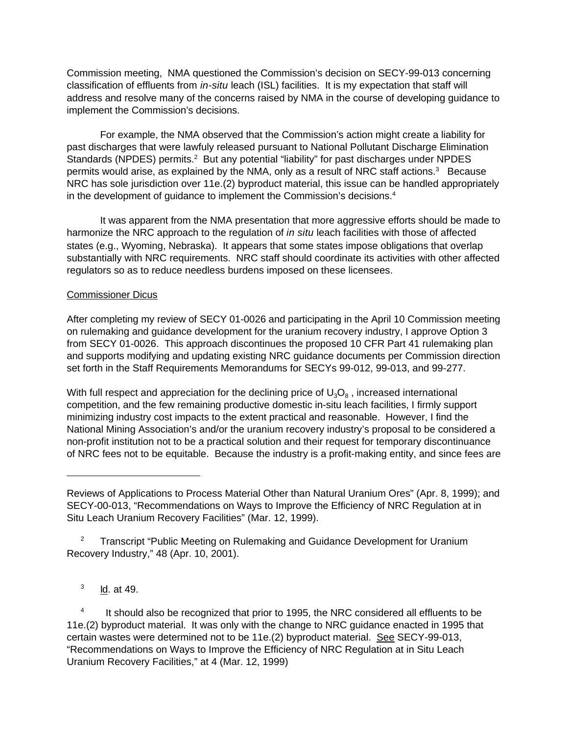Commission meeting, NMA questioned the Commission's decision on SECY-99-013 concerning classification of effluents from *in-situ* leach (ISL) facilities. It is my expectation that staff will address and resolve many of the concerns raised by NMA in the course of developing guidance to implement the Commission's decisions.

For example, the NMA observed that the Commission's action might create a liability for past discharges that were lawfuly released pursuant to National Pollutant Discharge Elimination Standards (NPDES) permits.<sup>2</sup> But any potential "liability" for past discharges under NPDES permits would arise, as explained by the NMA, only as a result of NRC staff actions.<sup>3</sup> Because NRC has sole jurisdiction over 11e.(2) byproduct material, this issue can be handled appropriately in the development of guidance to implement the Commission's decisions.<sup>4</sup>

It was apparent from the NMA presentation that more aggressive efforts should be made to harmonize the NRC approach to the regulation of *in situ* leach facilities with those of affected states (e.g., Wyoming, Nebraska). It appears that some states impose obligations that overlap substantially with NRC requirements. NRC staff should coordinate its activities with other affected regulators so as to reduce needless burdens imposed on these licensees.

#### Commissioner Dicus

After completing my review of SECY 01-0026 and participating in the April 10 Commission meeting on rulemaking and guidance development for the uranium recovery industry, I approve Option 3 from SECY 01-0026. This approach discontinues the proposed 10 CFR Part 41 rulemaking plan and supports modifying and updating existing NRC guidance documents per Commission direction set forth in the Staff Requirements Memorandums for SECYs 99-012, 99-013, and 99-277.

With full respect and appreciation for the declining price of  $\mathsf{U}_3\mathsf{O}_8$  , increased international competition, and the few remaining productive domestic in-situ leach facilities, I firmly support minimizing industry cost impacts to the extent practical and reasonable. However, I find the National Mining Association's and/or the uranium recovery industry's proposal to be considered a non-profit institution not to be a practical solution and their request for temporary discontinuance of NRC fees not to be equitable. Because the industry is a profit-making entity, and since fees are

<sup>2</sup> Transcript "Public Meeting on Rulemaking and Guidance Development for Uranium Recovery Industry," 48 (Apr. 10, 2001).

3 Id. at 49.

4 It should also be recognized that prior to 1995, the NRC considered all effluents to be 11e.(2) byproduct material. It was only with the change to NRC guidance enacted in 1995 that certain wastes were determined not to be 11e.(2) byproduct material. See SECY-99-013, "Recommendations on Ways to Improve the Efficiency of NRC Regulation at in Situ Leach Uranium Recovery Facilities," at 4 (Mar. 12, 1999)

Reviews of Applications to Process Material Other than Natural Uranium Ores" (Apr. 8, 1999); and SECY-00-013, "Recommendations on Ways to Improve the Efficiency of NRC Regulation at in Situ Leach Uranium Recovery Facilities" (Mar. 12, 1999).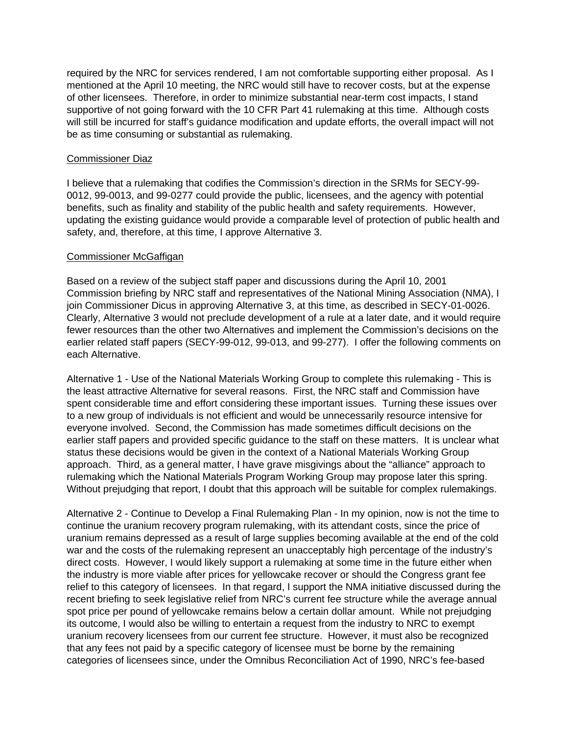required by the NRC for services rendered, I am not comfortable supporting either proposal. As I mentioned at the April 10 meeting, the NRC would still have to recover costs, but at the expense of other licensees. Therefore, in order to minimize substantial near-term cost impacts, I stand supportive of not going forward with the 10 CFR Part 41 rulemaking at this time. Although costs will still be incurred for staff's guidance modification and update efforts, the overall impact will not be as time consuming or substantial as rulemaking.

#### Commissioner Diaz

I believe that a rulemaking that codifies the Commission's direction in the SRMs for SECY-99- 0012, 99-0013, and 99-0277 could provide the public, licensees, and the agency with potential benefits, such as finality and stability of the public health and safety requirements. However, updating the existing guidance would provide a comparable level of protection of public health and safety, and, therefore, at this time, I approve Alternative 3.

#### Commissioner McGaffigan

Based on a review of the subject staff paper and discussions during the April 10, 2001 Commission briefing by NRC staff and representatives of the National Mining Association (NMA), I join Commissioner Dicus in approving Alternative 3, at this time, as described in SECY-01-0026. Clearly, Alternative 3 would not preclude development of a rule at a later date, and it would require fewer resources than the other two Alternatives and implement the Commission's decisions on the earlier related staff papers (SECY-99-012, 99-013, and 99-277). I offer the following comments on each Alternative.

Alternative 1 - Use of the National Materials Working Group to complete this rulemaking - This is the least attractive Alternative for several reasons. First, the NRC staff and Commission have spent considerable time and effort considering these important issues. Turning these issues over to a new group of individuals is not efficient and would be unnecessarily resource intensive for everyone involved. Second, the Commission has made sometimes difficult decisions on the earlier staff papers and provided specific guidance to the staff on these matters. It is unclear what status these decisions would be given in the context of a National Materials Working Group approach. Third, as a general matter, I have grave misgivings about the "alliance" approach to rulemaking which the National Materials Program Working Group may propose later this spring. Without prejudging that report, I doubt that this approach will be suitable for complex rulemakings.

Alternative 2 - Continue to Develop a Final Rulemaking Plan - In my opinion, now is not the time to continue the uranium recovery program rulemaking, with its attendant costs, since the price of uranium remains depressed as a result of large supplies becoming available at the end of the cold war and the costs of the rulemaking represent an unacceptably high percentage of the industry's direct costs. However, I would likely support a rulemaking at some time in the future either when the industry is more viable after prices for yellowcake recover or should the Congress grant fee relief to this category of licensees. In that regard, I support the NMA initiative discussed during the recent briefing to seek legislative relief from NRC's current fee structure while the average annual spot price per pound of yellowcake remains below a certain dollar amount. While not prejudging its outcome, I would also be willing to entertain a request from the industry to NRC to exempt uranium recovery licensees from our current fee structure. However, it must also be recognized that any fees not paid by a specific category of licensee must be borne by the remaining categories of licensees since, under the Omnibus Reconciliation Act of 1990, NRC's fee-based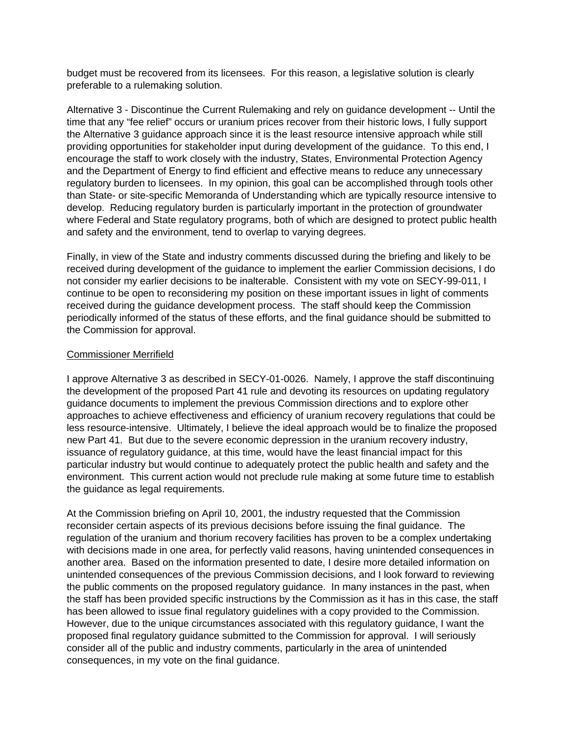budget must be recovered from its licensees. For this reason, a legislative solution is clearly preferable to a rulemaking solution.

Alternative 3 - Discontinue the Current Rulemaking and rely on guidance development -- Until the time that any "fee relief" occurs or uranium prices recover from their historic lows, I fully support the Alternative 3 guidance approach since it is the least resource intensive approach while still providing opportunities for stakeholder input during development of the guidance. To this end, I encourage the staff to work closely with the industry, States, Environmental Protection Agency and the Department of Energy to find efficient and effective means to reduce any unnecessary regulatory burden to licensees. In my opinion, this goal can be accomplished through tools other than State- or site-specific Memoranda of Understanding which are typically resource intensive to develop. Reducing regulatory burden is particularly important in the protection of groundwater where Federal and State regulatory programs, both of which are designed to protect public health and safety and the environment, tend to overlap to varying degrees.

Finally, in view of the State and industry comments discussed during the briefing and likely to be received during development of the guidance to implement the earlier Commission decisions, I do not consider my earlier decisions to be inalterable. Consistent with my vote on SECY-99-011, I continue to be open to reconsidering my position on these important issues in light of comments received during the guidance development process. The staff should keep the Commission periodically informed of the status of these efforts, and the final guidance should be submitted to the Commission for approval.

#### Commissioner Merrifield

I approve Alternative 3 as described in SECY-01-0026. Namely, I approve the staff discontinuing the development of the proposed Part 41 rule and devoting its resources on updating regulatory guidance documents to implement the previous Commission directions and to explore other approaches to achieve effectiveness and efficiency of uranium recovery regulations that could be less resource-intensive. Ultimately, I believe the ideal approach would be to finalize the proposed new Part 41. But due to the severe economic depression in the uranium recovery industry, issuance of regulatory guidance, at this time, would have the least financial impact for this particular industry but would continue to adequately protect the public health and safety and the environment. This current action would not preclude rule making at some future time to establish the guidance as legal requirements.

At the Commission briefing on April 10, 2001, the industry requested that the Commission reconsider certain aspects of its previous decisions before issuing the final guidance. The regulation of the uranium and thorium recovery facilities has proven to be a complex undertaking with decisions made in one area, for perfectly valid reasons, having unintended consequences in another area. Based on the information presented to date, I desire more detailed information on unintended consequences of the previous Commission decisions, and I look forward to reviewing the public comments on the proposed regulatory guidance. In many instances in the past, when the staff has been provided specific instructions by the Commission as it has in this case, the staff has been allowed to issue final regulatory guidelines with a copy provided to the Commission. However, due to the unique circumstances associated with this regulatory guidance, I want the proposed final regulatory guidance submitted to the Commission for approval. I will seriously consider all of the public and industry comments, particularly in the area of unintended consequences, in my vote on the final guidance.